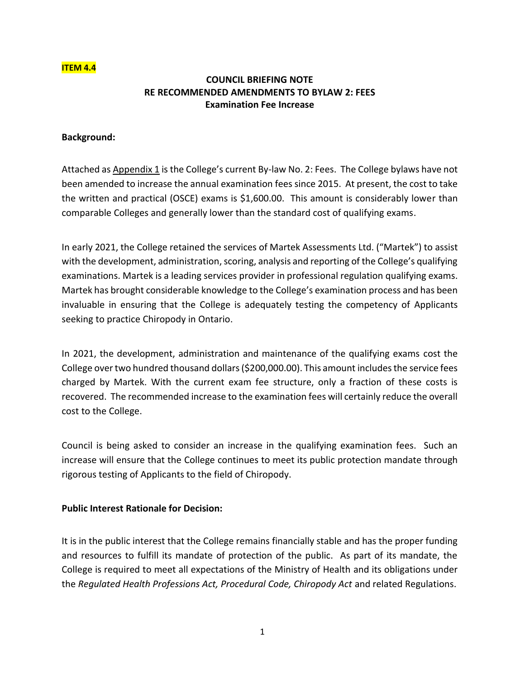#### **ITEM 4.4**

# **COUNCIL BRIEFING NOTE RE RECOMMENDED AMENDMENTS TO BYLAW 2: FEES Examination Fee Increase**

#### **Background:**

Attached as Appendix 1 is the College's current By-law No. 2: Fees. The College bylaws have not been amended to increase the annual examination fees since 2015. At present, the cost to take the written and practical (OSCE) exams is \$1,600.00. This amount is considerably lower than comparable Colleges and generally lower than the standard cost of qualifying exams.

In early 2021, the College retained the services of Martek Assessments Ltd. ("Martek") to assist with the development, administration, scoring, analysis and reporting of the College's qualifying examinations. Martek is a leading services provider in professional regulation qualifying exams. Martek has brought considerable knowledge to the College's examination process and has been invaluable in ensuring that the College is adequately testing the competency of Applicants seeking to practice Chiropody in Ontario.

In 2021, the development, administration and maintenance of the qualifying exams cost the College over two hundred thousand dollars (\$200,000.00). This amount includes the service fees charged by Martek. With the current exam fee structure, only a fraction of these costs is recovered. The recommended increase to the examination fees will certainly reduce the overall cost to the College.

Council is being asked to consider an increase in the qualifying examination fees. Such an increase will ensure that the College continues to meet its public protection mandate through rigorous testing of Applicants to the field of Chiropody.

### **Public Interest Rationale for Decision:**

It is in the public interest that the College remains financially stable and has the proper funding and resources to fulfill its mandate of protection of the public. As part of its mandate, the College is required to meet all expectations of the Ministry of Health and its obligations under the *Regulated Health Professions Act, Procedural Code, Chiropody Act* and related Regulations.